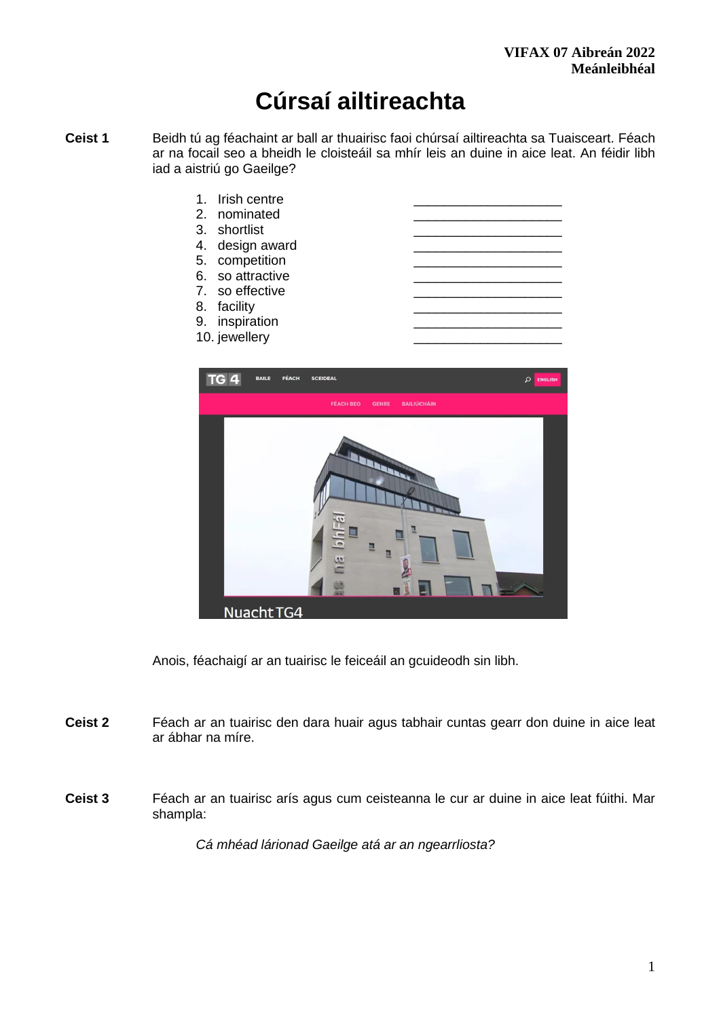# **Cúrsaí ailtireachta**

- **Ceist 1** Beidh tú ag féachaint ar ball ar thuairisc faoi chúrsaí ailtireachta sa Tuaisceart. Féach ar na focail seo a bheidh le cloisteáil sa mhír leis an duine in aice leat. An féidir libh iad a aistriú go Gaeilge?
	- 1. Irish centre 2. nominated 3. shortlist 4. design award 5. competition 6. so attractive 7. so effective 8. facility 9. inspiration
		- 10. jewellery



Anois, féachaigí ar an tuairisc le feiceáil an gcuideodh sin libh.

- **Ceist 2** Féach ar an tuairisc den dara huair agus tabhair cuntas gearr don duine in aice leat ar ábhar na míre.
- **Ceist 3** Féach ar an tuairisc arís agus cum ceisteanna le cur ar duine in aice leat fúithi. Mar shampla:

*Cá mhéad lárionad Gaeilge atá ar an ngearrliosta?*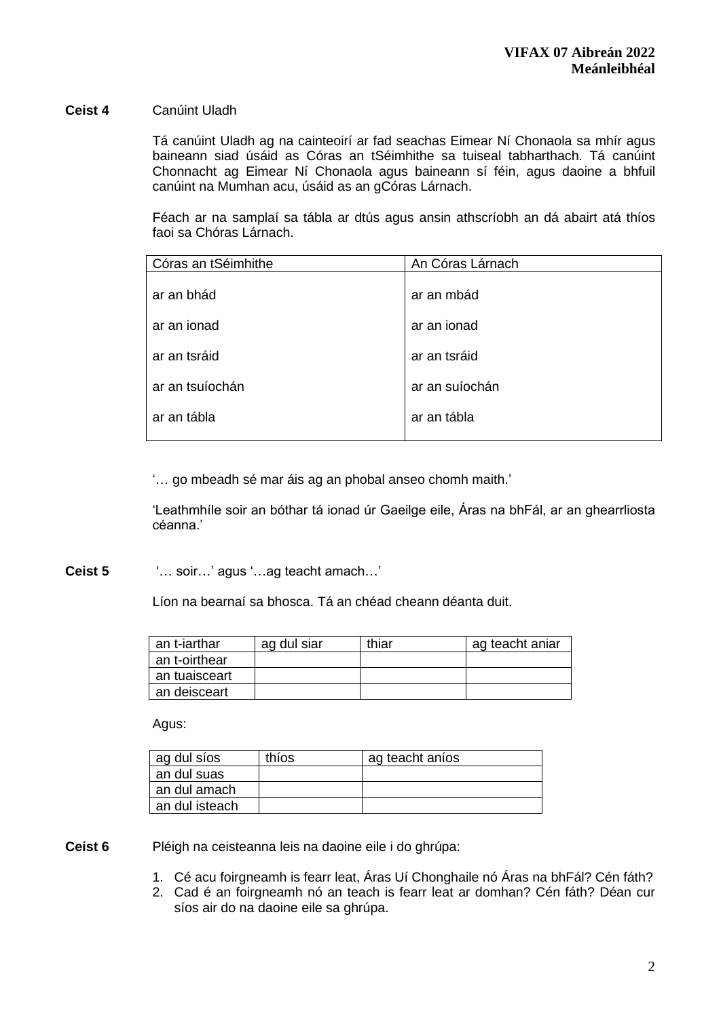#### **Ceist 4** Canúint Uladh

Tá canúint Uladh ag na cainteoirí ar fad seachas Eimear Ní Chonaola sa mhír agus baineann siad úsáid as Córas an tSéimhithe sa tuiseal tabharthach. Tá canúint Chonnacht ag Eimear Ní Chonaola agus baineann sí féin, agus daoine a bhfuil canúint na Mumhan acu, úsáid as an gCóras Lárnach.

Féach ar na samplaí sa tábla ar dtús agus ansin athscríobh an dá abairt atá thíos faoi sa Chóras Lárnach.

| Córas an tSéimhithe | An Córas Lárnach |
|---------------------|------------------|
|                     |                  |
| ar an bhád          | ar an mbád       |
|                     |                  |
| ar an ionad         | ar an ionad      |
|                     |                  |
| ar an tsráid        | ar an tsráid     |
|                     |                  |
| ar an tsuíochán     | ar an suíochán   |
|                     |                  |
| ar an tábla         | ar an tábla      |
|                     |                  |

'… go mbeadh sé mar áis ag an phobal anseo chomh maith.'

'Leathmhíle soir an bóthar tá ionad úr Gaeilge eile, Áras na bhFál, ar an ghearrliosta céanna.'

**Ceist 5** '… soir…' agus '…ag teacht amach…'

Líon na bearnaí sa bhosca. Tá an chéad cheann déanta duit.

| an t-iarthar  | ag dul siar | thiar | ag teacht aniar |
|---------------|-------------|-------|-----------------|
| an t-oirthear |             |       |                 |
| an tuaisceart |             |       |                 |
| an deisceart  |             |       |                 |

Agus:

| ag dul síos    | thios | ag teacht aníos |
|----------------|-------|-----------------|
| an dul suas    |       |                 |
| an dul amach   |       |                 |
| an dul isteach |       |                 |

**Ceist 6** Pléigh na ceisteanna leis na daoine eile i do ghrúpa:

- 1. Cé acu foirgneamh is fearr leat, Áras Uí Chonghaile nó Áras na bhFál? Cén fáth?
- 2. Cad é an foirgneamh nó an teach is fearr leat ar domhan? Cén fáth? Déan cur síos air do na daoine eile sa ghrúpa.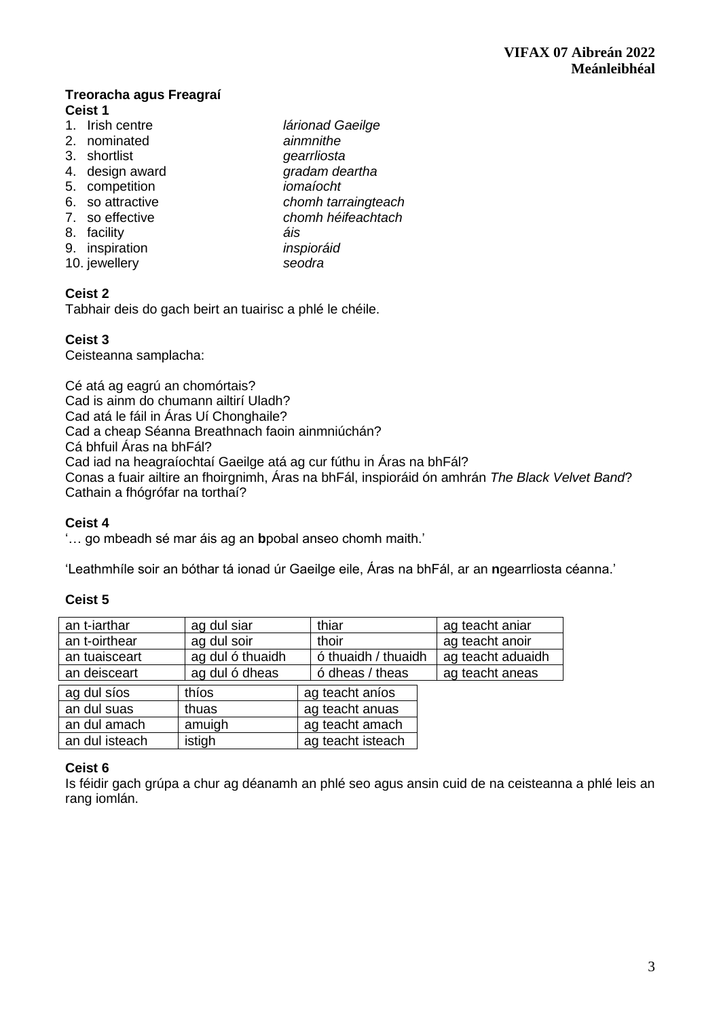### **Treoracha agus Freagraí Ceist 1**

- 1. Irish centre *lárionad Gaeilge*
- 
- 3. shortlist *gearrliosta*
- 
- 
- 
- 
- 8. facility *áis*
- 9. inspiration *inspioráid*
- 10. jewellery *seodra*
- 2. nominated *ainmnithe* 4. design award *gradam deartha* 5. competition *iomaíocht*  6. so attractive *chomh tarraingteach*  7. so effective *chomh héifeachtach*

# **Ceist 2**

Tabhair deis do gach beirt an tuairisc a phlé le chéile.

# **Ceist 3**

Ceisteanna samplacha:

Cé atá ag eagrú an chomórtais? Cad is ainm do chumann ailtirí Uladh? Cad atá le fáil in Áras Uí Chonghaile? Cad a cheap Séanna Breathnach faoin ainmniúchán? Cá bhfuil Áras na bhFál? Cad iad na heagraíochtaí Gaeilge atá ag cur fúthu in Áras na bhFál? Conas a fuair ailtire an fhoirgnimh, Áras na bhFál, inspioráid ón amhrán *The Black Velvet Band*? Cathain a fhógrófar na torthaí?

## **Ceist 4**

'… go mbeadh sé mar áis ag an **b**pobal anseo chomh maith.'

'Leathmhíle soir an bóthar tá ionad úr Gaeilge eile, Áras na bhFál, ar an **n**gearrliosta céanna.'

# **Ceist 5**

| an t-iarthar   | ag dul siar      | thiar               | ag teacht aniar   |
|----------------|------------------|---------------------|-------------------|
| an t-oirthear  | ag dul soir      | thoir               | ag teacht anoir   |
| an tuaisceart  | ag dul ó thuaidh | ó thuaidh / thuaidh | ag teacht aduaidh |
| an deisceart   | ag dul ó dheas   | ó dheas / theas     | ag teacht aneas   |
| ag dul síos    | thios            | ag teacht aníos     |                   |
| an dul suas    | thuas            | ag teacht anuas     |                   |
| an dul amach   | amuigh           | ag teacht amach     |                   |
| an dul isteach | istigh           | ag teacht isteach   |                   |

## **Ceist 6**

Is féidir gach grúpa a chur ag déanamh an phlé seo agus ansin cuid de na ceisteanna a phlé leis an rang iomlán.